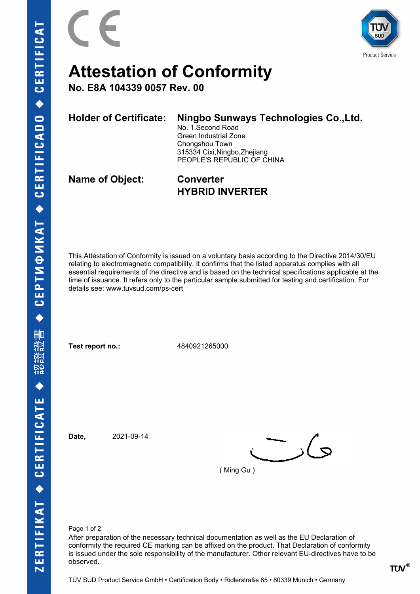



## **Attestation of Conformity**

**No. E8A 104339 0057 Rev. 00**

## **Holder of Certificate: Ningbo Sunways Technologies Co.,Ltd.**

No. 1,Second Road Green Industrial Zone Chongshou Town 315334 Cixi,Ningbo,Zhejiang PEOPLE'S REPUBLIC OF CHINA

**Name of Object: Converter**

**HYBRID INVERTER**

This Attestation of Conformity is issued on a voluntary basis according to the Directive 2014/30/EU relating to electromagnetic compatibility. It confirms that the listed apparatus complies with all essential requirements of the directive and is based on the technical specifications applicable at the time of issuance. It refers only to the particular sample submitted for testing and certification. For details see: www.tuvsud.com/ps-cert

**Test report no.:** 4840921265000

**Date,** 2021-09-14

 $\sim$  )(  $\sim$ 

( Ming Gu )

Page 1 of 2

After preparation of the necessary technical documentation as well as the EU Declaration of conformity the required CE marking can be affixed on the product. That Declaration of conformity is issued under the sole responsibility of the manufacturer. Other relevant EU-directives have to be observed.